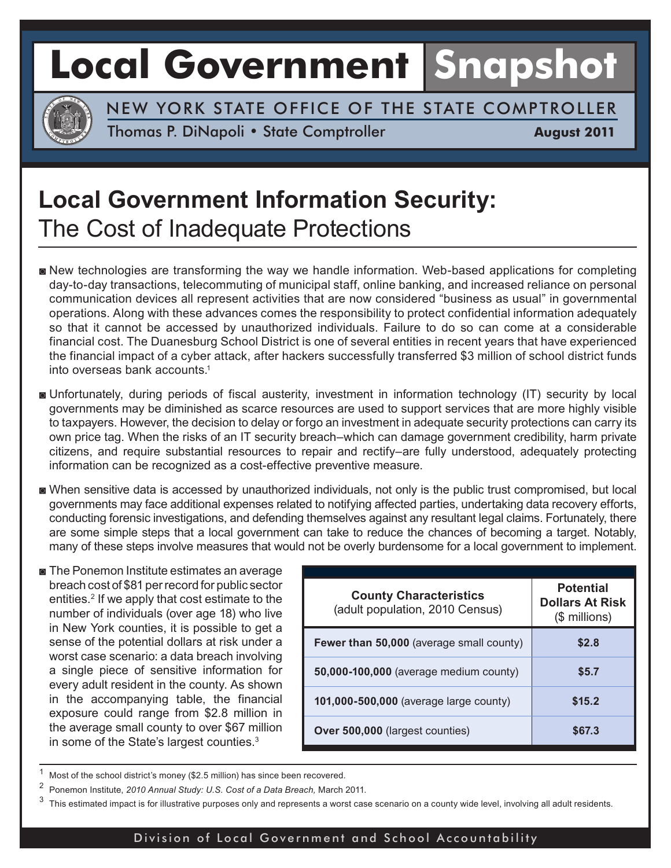# **Local Government Snapshot**



NEW YORK STATE OFFICE OF THE STATE COMPTROLLER

Thomas P. DiNapoli • State Comptroller **August 2011** 

### **Local Government Information Security:**  The Cost of Inadequate Protections

- **New technologies are transforming the way we handle information. Web-based applications for completing** day-to-day transactions, telecommuting of municipal staff, online banking, and increased reliance on personal communication devices all represent activities that are now considered "business as usual" in governmental operations. Along with these advances comes the responsibility to protect confidential information adequately so that it cannot be accessed by unauthorized individuals. Failure to do so can come at a considerable financial cost. The Duanesburg School District is one of several entities in recent years that have experienced the financial impact of a cyber attack, after hackers successfully transferred \$3 million of school district funds into overseas bank accounts.<sup>1</sup>
- Unfortunately, during periods of fiscal austerity, investment in information technology (IT) security by local governments may be diminished as scarce resources are used to support services that are more highly visible to taxpayers. However, the decision to delay or forgo an investment in adequate security protections can carry its own price tag. When the risks of an IT security breach–which can damage government credibility, harm private citizens, and require substantial resources to repair and rectify–are fully understood, adequately protecting information can be recognized as a cost-effective preventive measure.
- When sensitive data is accessed by unauthorized individuals, not only is the public trust compromised, but local governments may face additional expenses related to notifying affected parties, undertaking data recovery efforts, conducting forensic investigations, and defending themselves against any resultant legal claims. Fortunately, there are some simple steps that a local government can take to reduce the chances of becoming a target. Notably, many of these steps involve measures that would not be overly burdensome for a local government to implement.
- The Ponemon Institute estimates an average breach cost of \$81 perrecord for public sector entities.2 If we apply that cost estimate to the number of individuals (over age 18) who live in New York counties, it is possible to get a sense of the potential dollars at risk under a worst case scenario: a data breach involving a single piece of sensitive information for every adult resident in the county. As shown in the accompanying table, the financial exposure could range from \$2.8 million in the average small county to over \$67 million in some of the State's largest counties.<sup>3</sup>

| <b>County Characteristics</b><br>(adult population, 2010 Census) | <b>Potential</b><br><b>Dollars At Risk</b><br>$$$ millions) |
|------------------------------------------------------------------|-------------------------------------------------------------|
| Fewer than 50,000 (average small county)                         | \$2.8                                                       |
| 50,000-100,000 (average medium county)                           | \$5.7                                                       |
| 101,000-500,000 (average large county)                           | \$15.2                                                      |
| Over 500,000 (largest counties)                                  | \$67.3                                                      |

Most of the school district's money (\$2.5 million) has since been recovered.

- <sup>2</sup> Ponemon Institute, *2010 Annual Study: U.S. Cost of a Data Breach,* March 2011.
- $3$  This estimated impact is for illustrative purposes only and represents a worst case scenario on a county wide level, involving all adult residents.

#### Division of Local Government and School Accountability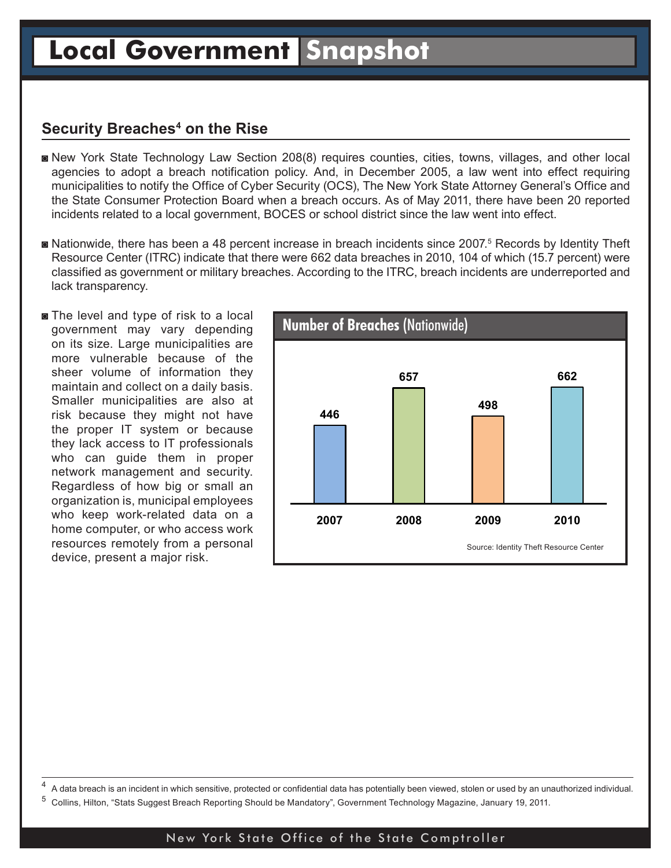### **Security Breaches4 on the Rise**

- New York State Technology Law Section 208(8) requires counties, cities, towns, villages, and other local agencies to adopt a breach notification policy. And, in December 2005, a law went into effect requiring municipalities to notify the Office of Cyber Security (OCS), The New York State Attorney General's Office and the State Consumer Protection Board when a breach occurs. As of May 2011, there have been 20 reported incidents related to a local government, BOCES or school district since the law went into effect.
- Nationwide, there has been a 48 percent increase in breach incidents since 2007.<sup>5</sup> Records by Identity Theft Resource Center (ITRC) indicate that there were 662 data breaches in 2010, 104 of which (15.7 percent) were classified as government or military breaches. According to the ITRC, breach incidents are underreported and lack transparency.
- **The level and type of risk to a local** government may vary depending on its size. Large municipalities are more vulnerable because of the sheer volume of information they maintain and collect on a daily basis. Smaller municipalities are also at risk because they might not have the proper IT system or because they lack access to IT professionals who can guide them in proper network management and security. Regardless of how big or small an organization is, municipal employees who keep work-related data on a home computer, or who access work resources remotely from a personal device, present a major risk.



<sup>4</sup> A data breach is an incident in which sensitive, protected or confidential data has potentially been viewed, stolen or used by an unauthorized individual.

<sup>5</sup> Collins, Hilton, "Stats Suggest Breach Reporting Should be Mandatory", Government Technology Magazine, January 19, 2011.

### New York State Office of the State Comptroller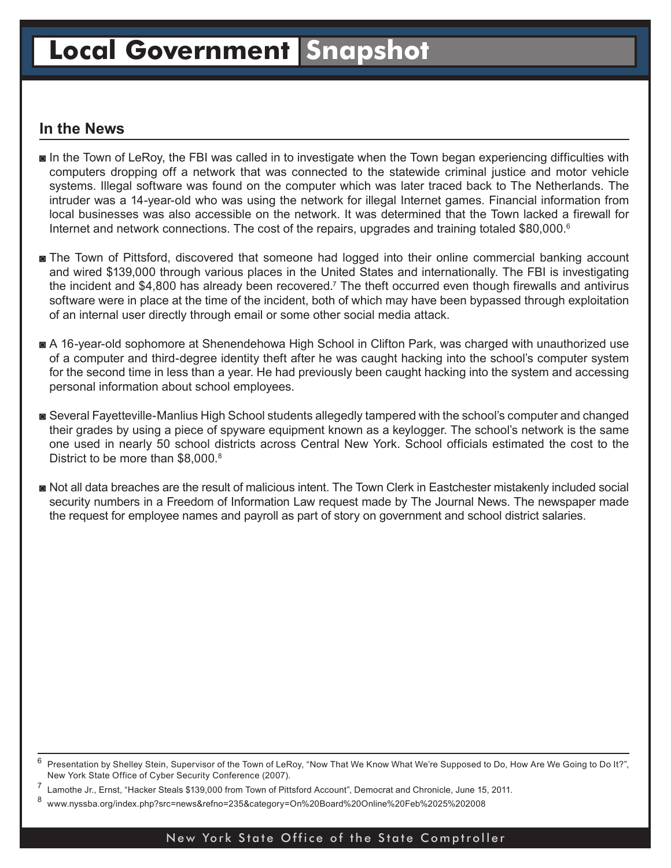## **Local Government Snapshot**

### **In the News**

- In the Town of LeRoy, the FBI was called in to investigate when the Town began experiencing difficulties with computers dropping off a network that was connected to the statewide criminal justice and motor vehicle systems. Illegal software was found on the computer which was later traced back to The Netherlands. The intruder was a 14-year-old who was using the network for illegal Internet games. Financial information from local businesses was also accessible on the network. It was determined that the Town lacked a firewall for Internet and network connections. The cost of the repairs, upgrades and training totaled \$80,000.<sup>6</sup>
- **The Town of Pittsford, discovered that someone had logged into their online commercial banking account** and wired \$139,000 through various places in the United States and internationally. The FBI is investigating the incident and \$4,800 has already been recovered.<sup>7</sup> The theft occurred even though firewalls and antivirus software were in place at the time of the incident, both of which may have been bypassed through exploitation of an internal user directly through email or some other social media attack.
- A 16-year-old sophomore at Shenendehowa High School in Clifton Park, was charged with unauthorized use of a computer and third-degree identity theft after he was caught hacking into the school's computer system for the second time in less than a year. He had previously been caught hacking into the system and accessing personal information about school employees.
- Several Fayetteville-Manlius High School students allegedly tampered with the school's computer and changed their grades by using a piece of spyware equipment known as a keylogger. The school's network is the same one used in nearly 50 school districts across Central New York. School officials estimated the cost to the District to be more than \$8,000.<sup>8</sup>
- Not all data breaches are the result of malicious intent. The Town Clerk in Eastchester mistakenly included social security numbers in a Freedom of Information Law request made by The Journal News. The newspaper made the request for employee names and payroll as part of story on government and school district salaries.

#### New York State Office of the State Comptroller

Presentation by Shelley Stein, Supervisor of the Town of LeRoy, "Now That We Know What We're Supposed to Do, How Are We Going to Do It?", New York State Office of Cyber Security Conference (2007).

Lamothe Jr., Ernst, "Hacker Steals \$139,000 from Town of Pittsford Account", Democrat and Chronicle, June 15, 2011.

<sup>8</sup> www.nyssba.org/index.php?src=news&refno=235&category=On%20Board%20Online%20Feb%2025%202008